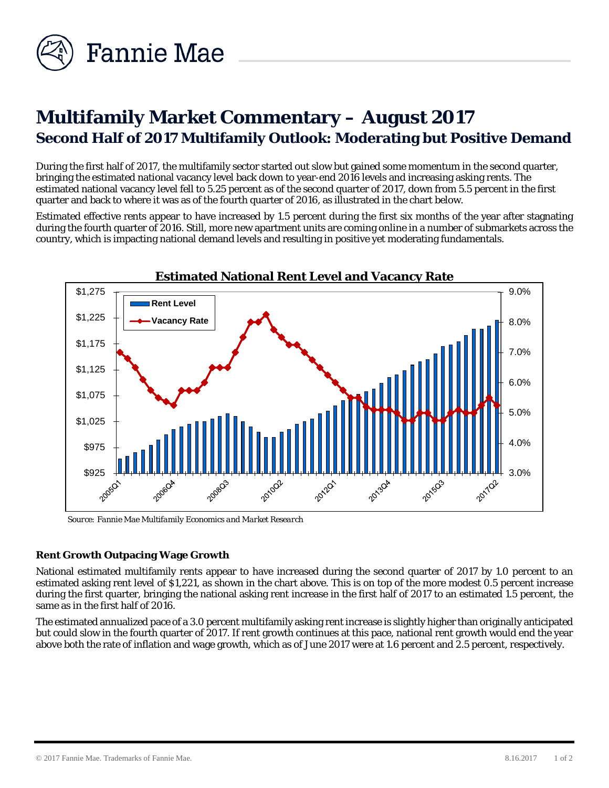

# **Multifamily Market Commentary – August 2017 Second Half of 2017 Multifamily Outlook: Moderating but Positive Demand**

During the first half of 2017, the multifamily sector started out slow but gained some momentum in the second quarter, bringing the estimated national vacancy level back down to year-end 2016 levels and increasing asking rents. The estimated national vacancy level fell to 5.25 percent as of the second quarter of 2017, down from 5.5 percent in the first quarter and back to where it was as of the fourth quarter of 2016, as illustrated in the chart below.

Estimated effective rents appear to have increased by 1.5 percent during the first six months of the year after stagnating during the fourth quarter of 2016. Still, more new apartment units are coming online in a number of submarkets across the country, which is impacting national demand levels and resulting in positive yet moderating fundamentals.



*Source: Fannie Mae Multifamily Economics and Market Research*

### **Rent Growth Outpacing Wage Growth**

National estimated multifamily rents appear to have increased during the second quarter of 2017 by 1.0 percent to an estimated asking rent level of \$1,221, as shown in the chart above. This is on top of the more modest 0.5 percent increase during the first quarter, bringing the national asking rent increase in the first half of 2017 to an estimated 1.5 percent, the same as in the first half of 2016.

The estimated annualized pace of a 3.0 percent multifamily asking rent increase is slightly higher than originally anticipated but could slow in the fourth quarter of 2017. If rent growth continues at this pace, national rent growth would end the year above both the rate of inflation and wage growth, which as of June 2017 were at 1.6 percent and 2.5 percent, respectively.